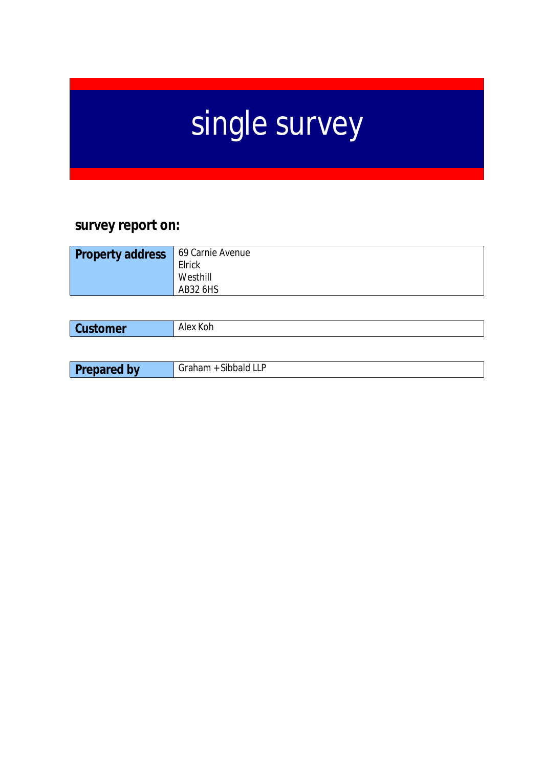# single survey

# **survey report on:**

| <b>Property address</b> | 69 Carnie Avenue |
|-------------------------|------------------|
|                         | Elrick           |
|                         | Westhill         |
|                         | AB32 6HS         |
|                         |                  |

| <b>Customer</b> | $N_{\rm UV}$ $V_{\rm oh}$<br>JГ<br>N. |
|-----------------|---------------------------------------|
|                 |                                       |

| Dr<br>---<br><b></b><br>.<br>$\sqrt{ }$<br>--<br>. .<br>. |  |
|-----------------------------------------------------------|--|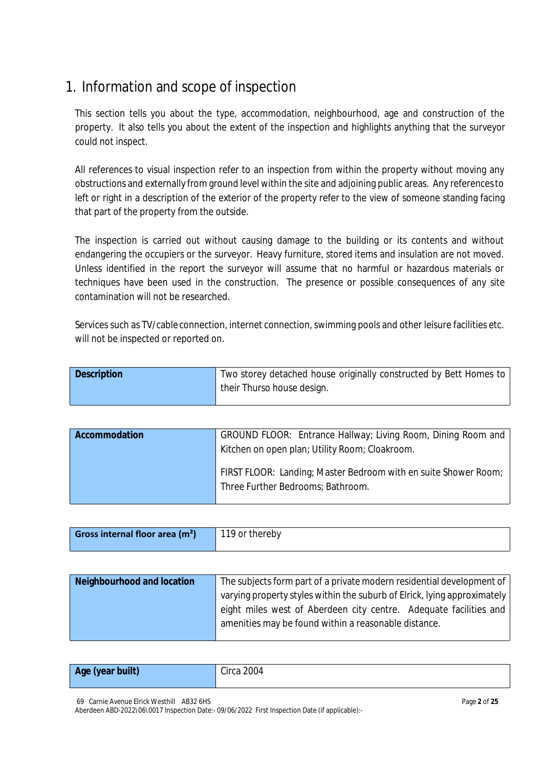# 1. Information and scope of inspection

This section tells you about the type, accommodation, neighbourhood, age and construction of the property. It also tells you about the extent of the inspection and highlights anything that the surveyor could not inspect.

All references to visual inspection refer to an inspection from within the property without moving any obstructions and externally from ground level within the site and adjoining public areas. Any referencesto left or right in a description of the exterior of the property refer to the view of someone standing facing that part of the property from the outside.

The inspection is carried out without causing damage to the building or its contents and without endangering the occupiers or the surveyor. Heavy furniture, stored items and insulation are not moved. Unless identified in the report the surveyor will assume that no harmful or hazardous materials or techniques have been used in the construction. The presence or possible consequences of any site contamination will not be researched.

Services such as TV/cable connection, internet connection, swimming pools and other leisure facilities etc. will not be inspected or reported on.

| <b>Description</b> | Two storey detached house originally constructed by Bett Homes to |
|--------------------|-------------------------------------------------------------------|
|                    | their Thurso house design.                                        |

| <b>Accommodation</b> | GROUND FLOOR: Entrance Hallway; Living Room, Dining Room and<br>Kitchen on open plan; Utility Room; Cloakroom. |
|----------------------|----------------------------------------------------------------------------------------------------------------|
|                      | FIRST FLOOR: Landing; Master Bedroom with en suite Shower Room;<br>Three Further Bedrooms; Bathroom.           |

| Gross internal floor area $(m2)$ | 119 or thereby |
|----------------------------------|----------------|
|                                  |                |

| <b>Neighbourhood and location</b> | The subjects form part of a private modern residential development of    |
|-----------------------------------|--------------------------------------------------------------------------|
|                                   | varying property styles within the suburb of Elrick, lying approximately |
|                                   | eight miles west of Aberdeen city centre. Adequate facilities and        |
|                                   | amenities may be found within a reasonable distance.                     |
|                                   |                                                                          |

| Age (year built) | Circa 2004 |
|------------------|------------|
|                  |            |

69 Carnie Avenue Elrick Westhill AB32 6HS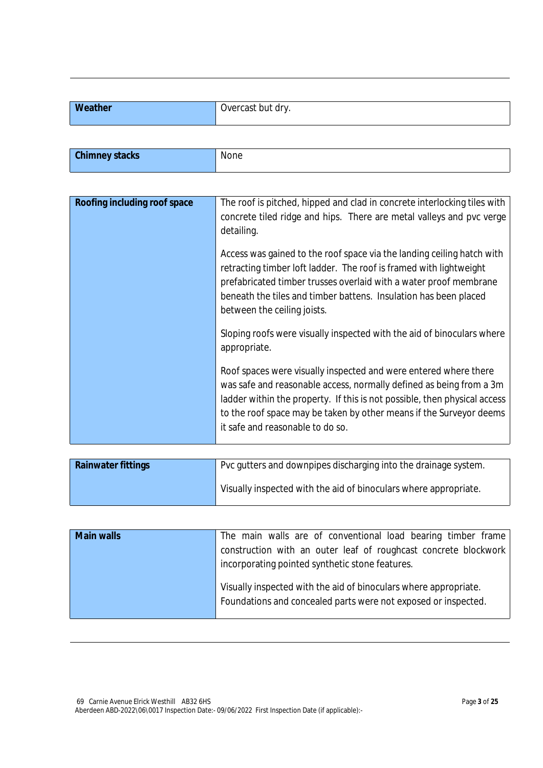| Weather<br>пе. | , but dry<br><b>Vercast</b><br>$\mathbf{v}$ . |
|----------------|-----------------------------------------------|
|                |                                               |

| <b>Chimney stacks</b> | None |
|-----------------------|------|
|                       |      |

| Roofing including roof space | The roof is pitched, hipped and clad in concrete interlocking tiles with<br>concrete tiled ridge and hips. There are metal valleys and pvc verge                                                                                                                                                                                |
|------------------------------|---------------------------------------------------------------------------------------------------------------------------------------------------------------------------------------------------------------------------------------------------------------------------------------------------------------------------------|
|                              | detailing.                                                                                                                                                                                                                                                                                                                      |
|                              | Access was gained to the roof space via the landing ceiling hatch with<br>retracting timber loft ladder. The roof is framed with lightweight<br>prefabricated timber trusses overlaid with a water proof membrane<br>beneath the tiles and timber battens. Insulation has been placed<br>between the ceiling joists.            |
|                              | Sloping roofs were visually inspected with the aid of binoculars where<br>appropriate.                                                                                                                                                                                                                                          |
|                              | Roof spaces were visually inspected and were entered where there<br>was safe and reasonable access, normally defined as being from a 3m<br>ladder within the property. If this is not possible, then physical access<br>to the roof space may be taken by other means if the Surveyor deems<br>it safe and reasonable to do so. |

| <b>Rainwater fittings</b> | Pvc gutters and downpipes discharging into the drainage system.  |
|---------------------------|------------------------------------------------------------------|
|                           | Visually inspected with the aid of binoculars where appropriate. |

| <b>Main walls</b> | The main walls are of conventional load bearing timber frame                                                                       |
|-------------------|------------------------------------------------------------------------------------------------------------------------------------|
|                   | construction with an outer leaf of roughcast concrete blockwork                                                                    |
|                   | incorporating pointed synthetic stone features.                                                                                    |
|                   | Visually inspected with the aid of binoculars where appropriate.<br>Foundations and concealed parts were not exposed or inspected. |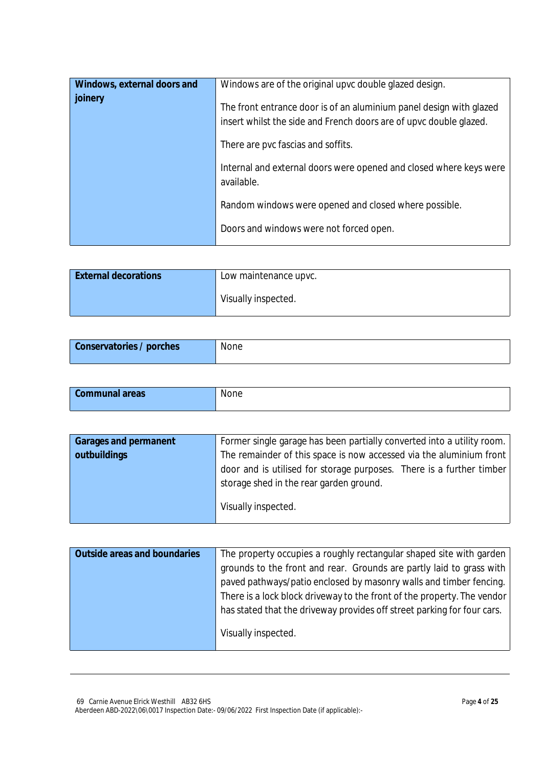| Windows, external doors and<br>joinery | Windows are of the original upvc double glazed design.<br>The front entrance door is of an aluminium panel design with glazed<br>insert whilst the side and French doors are of upvc double glazed. |
|----------------------------------------|-----------------------------------------------------------------------------------------------------------------------------------------------------------------------------------------------------|
|                                        | There are pvc fascias and soffits.<br>Internal and external doors were opened and closed where keys were                                                                                            |
|                                        | available.<br>Random windows were opened and closed where possible.                                                                                                                                 |
|                                        | Doors and windows were not forced open.                                                                                                                                                             |

| <b>External decorations</b> | Low maintenance upvc. |
|-----------------------------|-----------------------|
|                             | Visually inspected.   |

| <b>Conservatories / porches</b> | None |
|---------------------------------|------|
|                                 |      |

| <b>Communal areas</b> | None<br>______ |
|-----------------------|----------------|
|                       |                |

| <b>Garages and permanent</b> | Former single garage has been partially converted into a utility room. |
|------------------------------|------------------------------------------------------------------------|
| outbuildings                 | The remainder of this space is now accessed via the aluminium front    |
|                              | door and is utilised for storage purposes. There is a further timber   |
|                              | storage shed in the rear garden ground.                                |
|                              | Visually inspected.                                                    |

| <b>Outside areas and boundaries</b> | The property occupies a roughly rectangular shaped site with garden     |
|-------------------------------------|-------------------------------------------------------------------------|
|                                     | grounds to the front and rear. Grounds are partly laid to grass with    |
|                                     | paved pathways/patio enclosed by masonry walls and timber fencing.      |
|                                     | There is a lock block driveway to the front of the property. The vendor |
|                                     | has stated that the driveway provides off street parking for four cars. |
|                                     | Visually inspected.                                                     |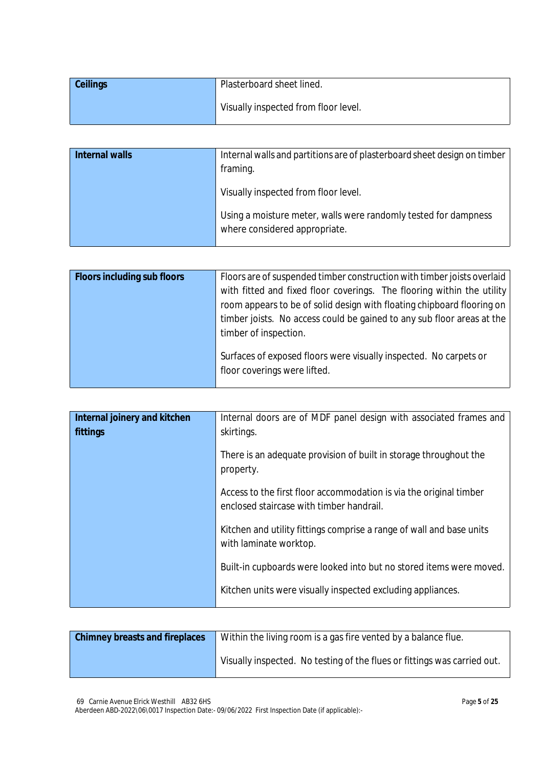| <b>Ceilings</b> | Plasterboard sheet lined.            |
|-----------------|--------------------------------------|
|                 | Visually inspected from floor level. |

| Internal walls | Internal walls and partitions are of plasterboard sheet design on timber |
|----------------|--------------------------------------------------------------------------|
|                | framing.                                                                 |
|                | Visually inspected from floor level.                                     |
|                | Using a moisture meter, walls were randomly tested for dampness          |
|                | where considered appropriate.                                            |

| <b>Floors including sub floors</b> | Floors are of suspended timber construction with timber joists overlaid<br>with fitted and fixed floor coverings. The flooring within the utility<br>room appears to be of solid design with floating chipboard flooring on<br>timber joists. No access could be gained to any sub floor areas at the<br>timber of inspection. |
|------------------------------------|--------------------------------------------------------------------------------------------------------------------------------------------------------------------------------------------------------------------------------------------------------------------------------------------------------------------------------|
|                                    | Surfaces of exposed floors were visually inspected. No carpets or<br>floor coverings were lifted.                                                                                                                                                                                                                              |

| Internal joinery and kitchen<br>fittings | Internal doors are of MDF panel design with associated frames and<br>skirtings.                                |
|------------------------------------------|----------------------------------------------------------------------------------------------------------------|
|                                          | There is an adequate provision of built in storage throughout the<br>property.                                 |
|                                          | Access to the first floor accommodation is via the original timber<br>enclosed staircase with timber handrail. |
|                                          | Kitchen and utility fittings comprise a range of wall and base units<br>with laminate worktop.                 |
|                                          | Built-in cupboards were looked into but no stored items were moved.                                            |
|                                          | Kitchen units were visually inspected excluding appliances.                                                    |

| <b>Chimney breasts and fireplaces</b> | Within the living room is a gas fire vented by a balance flue.           |
|---------------------------------------|--------------------------------------------------------------------------|
|                                       | Visually inspected. No testing of the flues or fittings was carried out. |

69 Carnie Avenue Elrick Westhill AB32 6HS Aberdeen ABD-2022\06\0017 Inspection Date:- 09/06/2022 First Inspection Date (if applicable):-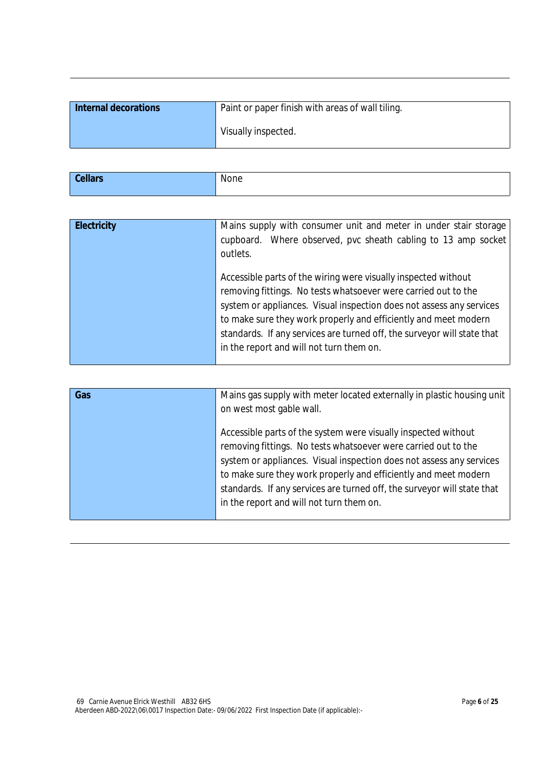| Internal decorations | Paint or paper finish with areas of wall tiling. |
|----------------------|--------------------------------------------------|
|                      | Visually inspected.                              |

| $C0$ II | None |
|---------|------|
|         |      |

| <b>Electricity</b> | Mains supply with consumer unit and meter in under stair storage<br>cupboard. Where observed, pvc sheath cabling to 13 amp socket<br>outlets.                                                                                                                                                                                                                                                      |
|--------------------|----------------------------------------------------------------------------------------------------------------------------------------------------------------------------------------------------------------------------------------------------------------------------------------------------------------------------------------------------------------------------------------------------|
|                    | Accessible parts of the wiring were visually inspected without<br>removing fittings. No tests whatsoever were carried out to the<br>system or appliances. Visual inspection does not assess any services<br>to make sure they work properly and efficiently and meet modern<br>standards. If any services are turned off, the surveyor will state that<br>in the report and will not turn them on. |

| Gas | Mains gas supply with meter located externally in plastic housing unit<br>on west most gable wall.                                                                                                                                                                                                                                                                                                 |
|-----|----------------------------------------------------------------------------------------------------------------------------------------------------------------------------------------------------------------------------------------------------------------------------------------------------------------------------------------------------------------------------------------------------|
|     | Accessible parts of the system were visually inspected without<br>removing fittings. No tests whatsoever were carried out to the<br>system or appliances. Visual inspection does not assess any services<br>to make sure they work properly and efficiently and meet modern<br>standards. If any services are turned off, the surveyor will state that<br>in the report and will not turn them on. |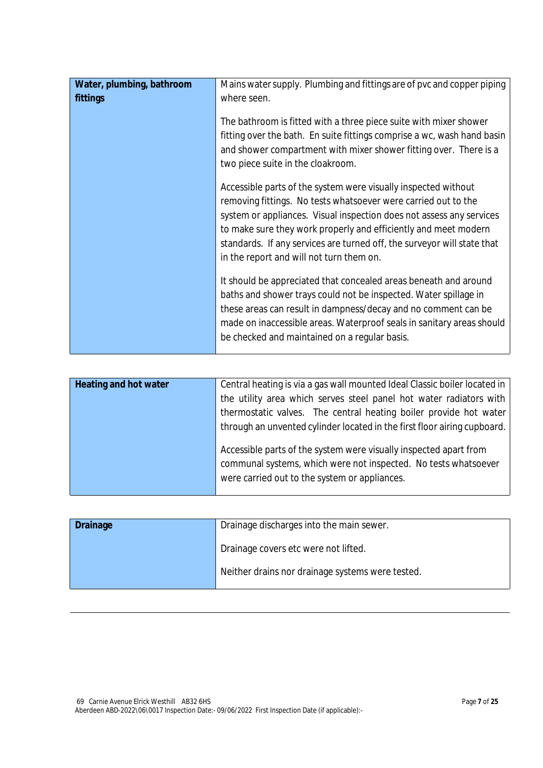| Water, plumbing, bathroom<br>fittings | Mains water supply. Plumbing and fittings are of pvc and copper piping<br>where seen.                                                                                                                                                                                                                                                                                                              |
|---------------------------------------|----------------------------------------------------------------------------------------------------------------------------------------------------------------------------------------------------------------------------------------------------------------------------------------------------------------------------------------------------------------------------------------------------|
|                                       | The bathroom is fitted with a three piece suite with mixer shower<br>fitting over the bath. En suite fittings comprise a wc, wash hand basin<br>and shower compartment with mixer shower fitting over. There is a<br>two piece suite in the cloakroom.                                                                                                                                             |
|                                       | Accessible parts of the system were visually inspected without<br>removing fittings. No tests whatsoever were carried out to the<br>system or appliances. Visual inspection does not assess any services<br>to make sure they work properly and efficiently and meet modern<br>standards. If any services are turned off, the surveyor will state that<br>in the report and will not turn them on. |
|                                       | It should be appreciated that concealed areas beneath and around<br>baths and shower trays could not be inspected. Water spillage in<br>these areas can result in dampness/decay and no comment can be<br>made on inaccessible areas. Waterproof seals in sanitary areas should<br>be checked and maintained on a regular basis.                                                                   |

| <b>Heating and hot water</b> | Central heating is via a gas wall mounted Ideal Classic boiler located in                                                                                                             |
|------------------------------|---------------------------------------------------------------------------------------------------------------------------------------------------------------------------------------|
|                              | the utility area which serves steel panel hot water radiators with                                                                                                                    |
|                              | thermostatic valves. The central heating boiler provide hot water                                                                                                                     |
|                              | through an unvented cylinder located in the first floor airing cupboard.                                                                                                              |
|                              | Accessible parts of the system were visually inspected apart from<br>communal systems, which were not inspected. No tests whatsoever<br>were carried out to the system or appliances. |

| Drainage discharges into the main sewer.<br>Drainage |                                                  |
|------------------------------------------------------|--------------------------------------------------|
|                                                      | Drainage covers etc were not lifted.             |
|                                                      | Neither drains nor drainage systems were tested. |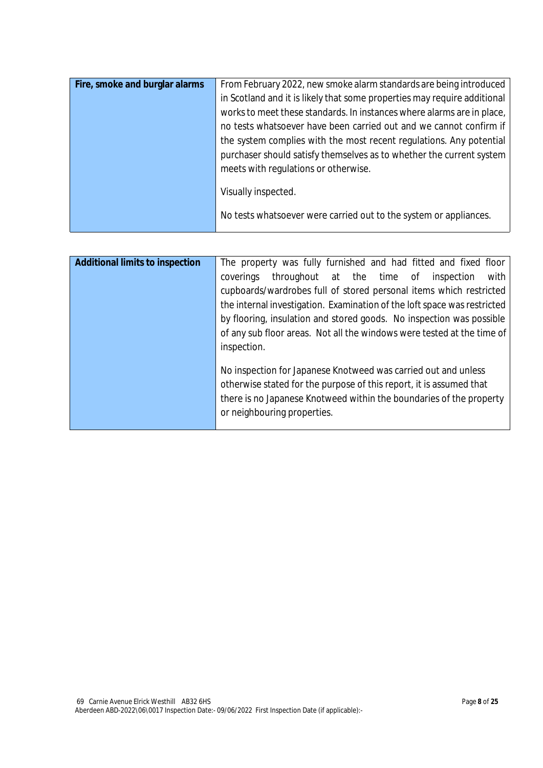| Fire, smoke and burglar alarms | From February 2022, new smoke alarm standards are being introduced       |
|--------------------------------|--------------------------------------------------------------------------|
|                                | in Scotland and it is likely that some properties may require additional |
|                                | works to meet these standards. In instances where alarms are in place,   |
|                                | no tests whatsoever have been carried out and we cannot confirm if       |
|                                | the system complies with the most recent regulations. Any potential      |
|                                | purchaser should satisfy themselves as to whether the current system     |
|                                | meets with regulations or otherwise.                                     |
|                                |                                                                          |
|                                | Visually inspected.                                                      |
|                                | No tests whatsoever were carried out to the system or appliances.        |
|                                |                                                                          |

| <b>Additional limits to inspection</b> | The property was fully furnished and had fitted and fixed floor<br>throughout at the time of<br>inspection<br>with<br>coverings<br>cupboards/wardrobes full of stored personal items which restricted<br>the internal investigation. Examination of the loft space was restricted<br>by flooring, insulation and stored goods. No inspection was possible<br>of any sub floor areas. Not all the windows were tested at the time of |
|----------------------------------------|-------------------------------------------------------------------------------------------------------------------------------------------------------------------------------------------------------------------------------------------------------------------------------------------------------------------------------------------------------------------------------------------------------------------------------------|
|                                        | inspection.<br>No inspection for Japanese Knotweed was carried out and unless<br>otherwise stated for the purpose of this report, it is assumed that<br>there is no Japanese Knotweed within the boundaries of the property<br>or neighbouring properties.                                                                                                                                                                          |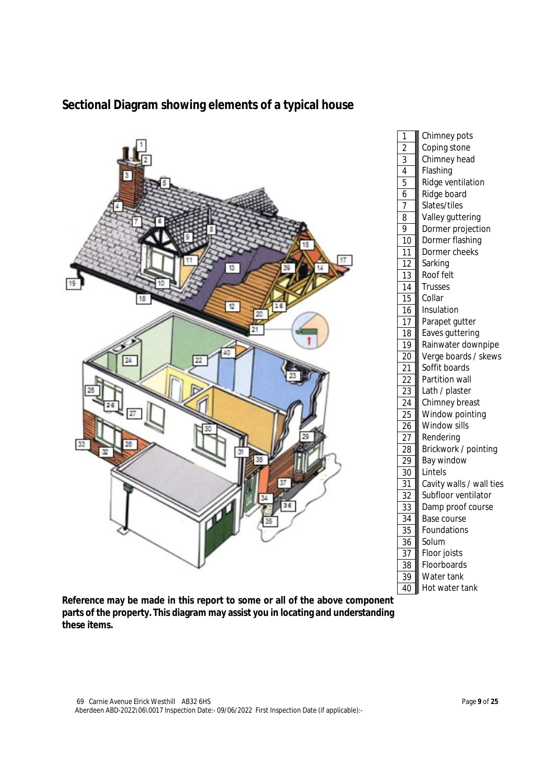

# **Sectional Diagram showing elements of a typical house**

**Reference may be made in this report to some or all of the above component parts of the property. This diagram may assist you in locating and understanding these items.**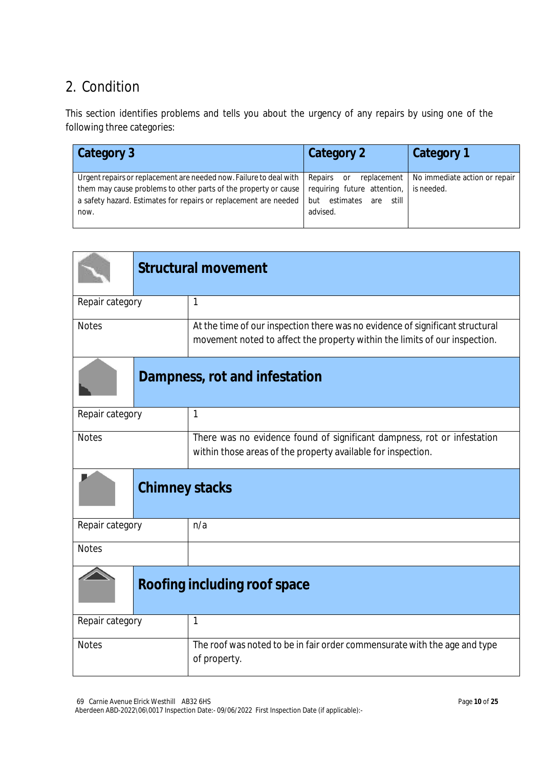# 2. Condition

This section identifies problems and tells you about the urgency of any repairs by using one of the following three categories:

| Category 3                                                                                                                                                                                                          | Category 2                                                                                                    | Category 1                                  |
|---------------------------------------------------------------------------------------------------------------------------------------------------------------------------------------------------------------------|---------------------------------------------------------------------------------------------------------------|---------------------------------------------|
| Urgent repairs or replacement are needed now. Failure to deal with  <br>them may cause problems to other parts of the property or cause<br>a safety hazard. Estimates for repairs or replacement are needed<br>now. | Repairs<br>replacement  <br>or<br>requiring future attention,<br>estimates<br>still<br>but<br>are<br>advised. | No immediate action or repair<br>is needed. |

|                 | <b>Structural movement</b> |                                                                                                                                                             |
|-----------------|----------------------------|-------------------------------------------------------------------------------------------------------------------------------------------------------------|
| Repair category |                            | $\mathbf{1}$                                                                                                                                                |
| <b>Notes</b>    |                            | At the time of our inspection there was no evidence of significant structural<br>movement noted to affect the property within the limits of our inspection. |
|                 |                            | Dampness, rot and infestation                                                                                                                               |
| Repair category |                            | $\mathbf{1}$                                                                                                                                                |
| <b>Notes</b>    |                            | There was no evidence found of significant dampness, rot or infestation<br>within those areas of the property available for inspection.                     |
|                 | <b>Chimney stacks</b>      |                                                                                                                                                             |
| Repair category |                            | n/a                                                                                                                                                         |
| <b>Notes</b>    |                            |                                                                                                                                                             |
|                 |                            | <b>Roofing including roof space</b>                                                                                                                         |
| Repair category |                            | $\mathbf{1}$                                                                                                                                                |
| <b>Notes</b>    |                            | The roof was noted to be in fair order commensurate with the age and type<br>of property.                                                                   |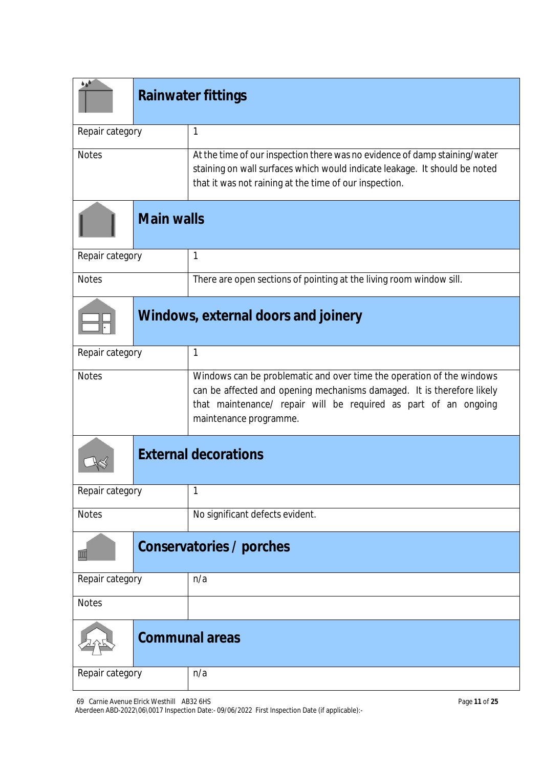| فرة             | <b>Rainwater fittings</b> |                                                                                                                                                                                                                                              |  |
|-----------------|---------------------------|----------------------------------------------------------------------------------------------------------------------------------------------------------------------------------------------------------------------------------------------|--|
| Repair category |                           | $\mathbf{1}$                                                                                                                                                                                                                                 |  |
| <b>Notes</b>    |                           | At the time of our inspection there was no evidence of damp staining/water<br>staining on wall surfaces which would indicate leakage. It should be noted<br>that it was not raining at the time of our inspection.                           |  |
|                 | <b>Main walls</b>         |                                                                                                                                                                                                                                              |  |
| Repair category |                           | $\mathbf{1}$                                                                                                                                                                                                                                 |  |
| <b>Notes</b>    |                           | There are open sections of pointing at the living room window sill.                                                                                                                                                                          |  |
|                 |                           | <b>Windows, external doors and joinery</b>                                                                                                                                                                                                   |  |
| Repair category |                           | $\mathbf{1}$                                                                                                                                                                                                                                 |  |
| <b>Notes</b>    |                           | Windows can be problematic and over time the operation of the windows<br>can be affected and opening mechanisms damaged. It is therefore likely<br>that maintenance/ repair will be required as part of an ongoing<br>maintenance programme. |  |
|                 |                           | <b>External decorations</b>                                                                                                                                                                                                                  |  |
| Repair category |                           | 1                                                                                                                                                                                                                                            |  |
| <b>Notes</b>    |                           | No significant defects evident.                                                                                                                                                                                                              |  |
| Ш               |                           | Conservatories / porches                                                                                                                                                                                                                     |  |
| Repair category |                           | n/a                                                                                                                                                                                                                                          |  |
| <b>Notes</b>    |                           |                                                                                                                                                                                                                                              |  |
|                 |                           | <b>Communal areas</b>                                                                                                                                                                                                                        |  |
| Repair category |                           | n/a                                                                                                                                                                                                                                          |  |

69 Carnie Avenue Elrick Westhill AB32 6HS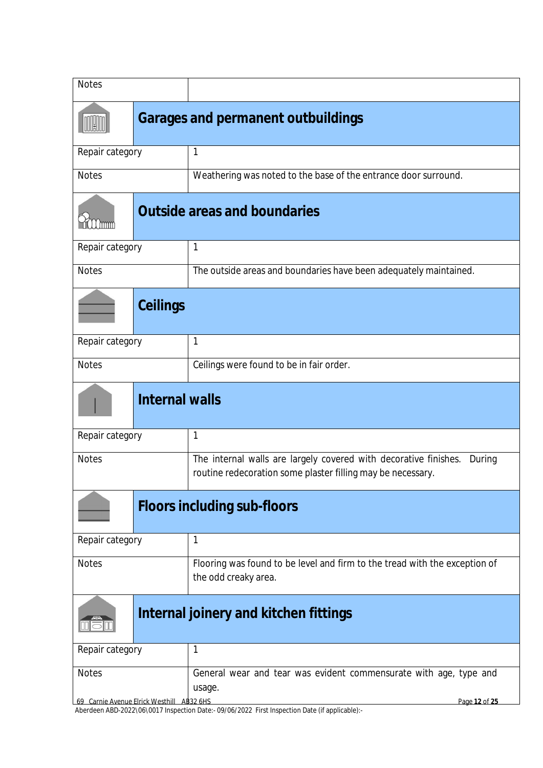| <b>Notes</b>                                              |                                           |                                                                                                                                           |  |  |
|-----------------------------------------------------------|-------------------------------------------|-------------------------------------------------------------------------------------------------------------------------------------------|--|--|
|                                                           | <b>Garages and permanent outbuildings</b> |                                                                                                                                           |  |  |
| Repair category                                           |                                           | 1                                                                                                                                         |  |  |
| <b>Notes</b>                                              |                                           | Weathering was noted to the base of the entrance door surround.                                                                           |  |  |
|                                                           |                                           | <b>Outside areas and boundaries</b>                                                                                                       |  |  |
| Repair category                                           |                                           | $\mathbf{1}$                                                                                                                              |  |  |
| <b>Notes</b>                                              |                                           | The outside areas and boundaries have been adequately maintained.                                                                         |  |  |
|                                                           | <b>Ceilings</b>                           |                                                                                                                                           |  |  |
| Repair category                                           |                                           | $\mathbf{1}$                                                                                                                              |  |  |
| <b>Notes</b>                                              |                                           | Ceilings were found to be in fair order.                                                                                                  |  |  |
|                                                           | <b>Internal walls</b>                     |                                                                                                                                           |  |  |
| Repair category                                           |                                           | $\mathbf{1}$                                                                                                                              |  |  |
| <b>Notes</b>                                              |                                           | The internal walls are largely covered with decorative finishes.<br>During<br>routine redecoration some plaster filling may be necessary. |  |  |
|                                                           |                                           | <b>Floors including sub-floors</b>                                                                                                        |  |  |
| Repair category                                           |                                           | 1                                                                                                                                         |  |  |
| <b>Notes</b>                                              |                                           | Flooring was found to be level and firm to the tread with the exception of<br>the odd creaky area.                                        |  |  |
|                                                           |                                           | Internal joinery and kitchen fittings                                                                                                     |  |  |
| Repair category                                           |                                           | $\mathbf{1}$                                                                                                                              |  |  |
| <b>Notes</b><br>69 Carnie Avenue Elrick Westhill AB32 6HS |                                           | General wear and tear was evident commensurate with age, type and<br>usage.<br>Page 12 of 25                                              |  |  |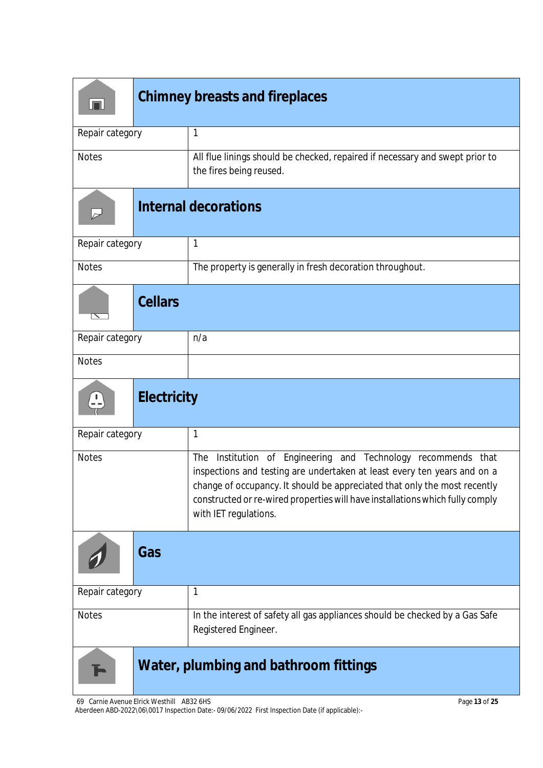| lπ                                    | <b>Chimney breasts and fireplaces</b> |                                                                                                                                                                                                                                                                                                                                     |  |
|---------------------------------------|---------------------------------------|-------------------------------------------------------------------------------------------------------------------------------------------------------------------------------------------------------------------------------------------------------------------------------------------------------------------------------------|--|
| Repair category                       |                                       | 1                                                                                                                                                                                                                                                                                                                                   |  |
| <b>Notes</b>                          |                                       | All flue linings should be checked, repaired if necessary and swept prior to<br>the fires being reused.                                                                                                                                                                                                                             |  |
| $\triangleright$                      |                                       | <b>Internal decorations</b>                                                                                                                                                                                                                                                                                                         |  |
| Repair category                       |                                       | $\mathbf{1}$                                                                                                                                                                                                                                                                                                                        |  |
| <b>Notes</b>                          |                                       | The property is generally in fresh decoration throughout.                                                                                                                                                                                                                                                                           |  |
|                                       | <b>Cellars</b>                        |                                                                                                                                                                                                                                                                                                                                     |  |
| Repair category                       |                                       | n/a                                                                                                                                                                                                                                                                                                                                 |  |
| <b>Notes</b>                          |                                       |                                                                                                                                                                                                                                                                                                                                     |  |
| <b>Electricity</b>                    |                                       |                                                                                                                                                                                                                                                                                                                                     |  |
| Repair category                       |                                       | $\mathbf 1$                                                                                                                                                                                                                                                                                                                         |  |
| <b>Notes</b>                          |                                       | Institution of Engineering and Technology recommends that<br>The<br>inspections and testing are undertaken at least every ten years and on a<br>change of occupancy. It should be appreciated that only the most recently<br>constructed or re-wired properties will have installations which fully comply<br>with IET regulations. |  |
|                                       | Gas                                   |                                                                                                                                                                                                                                                                                                                                     |  |
| Repair category                       |                                       | $\mathbf{1}$                                                                                                                                                                                                                                                                                                                        |  |
| <b>Notes</b>                          |                                       | In the interest of safety all gas appliances should be checked by a Gas Safe<br>Registered Engineer.                                                                                                                                                                                                                                |  |
| Water, plumbing and bathroom fittings |                                       |                                                                                                                                                                                                                                                                                                                                     |  |

69 Carnie Avenue Elrick Westhill AB32 6HS Aberdeen ABD-2022\06\0017 Inspection Date:- 09/06/2022 First Inspection Date (if applicable):-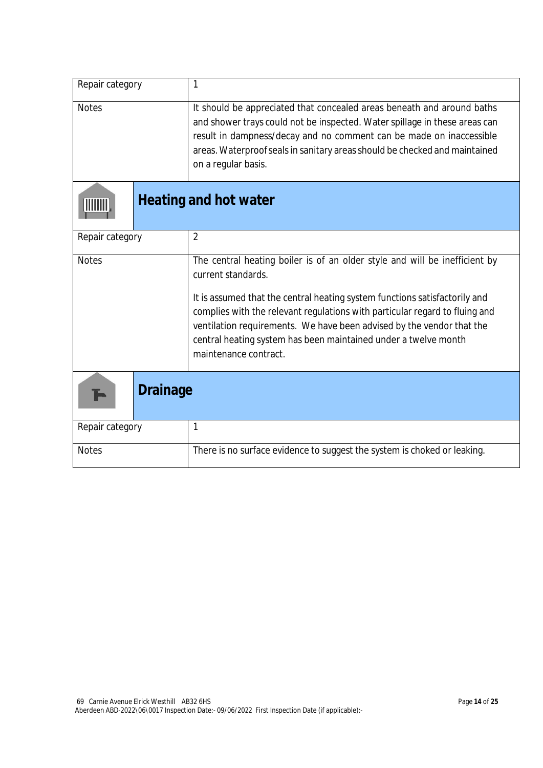| Repair category | 1                                                                                                                                                                                                                                                                                                                                |
|-----------------|----------------------------------------------------------------------------------------------------------------------------------------------------------------------------------------------------------------------------------------------------------------------------------------------------------------------------------|
| <b>Notes</b>    | It should be appreciated that concealed areas beneath and around baths<br>and shower trays could not be inspected. Water spillage in these areas can<br>result in dampness/decay and no comment can be made on inaccessible<br>areas. Waterproof seals in sanitary areas should be checked and maintained<br>on a regular basis. |
|                 | Heating and hot water                                                                                                                                                                                                                                                                                                            |
| Repair category | $\overline{2}$                                                                                                                                                                                                                                                                                                                   |
| <b>Notes</b>    | The central heating boiler is of an older style and will be inefficient by<br>current standards.                                                                                                                                                                                                                                 |
|                 | It is assumed that the central heating system functions satisfactorily and<br>complies with the relevant regulations with particular regard to fluing and<br>ventilation requirements. We have been advised by the vendor that the<br>central heating system has been maintained under a twelve month<br>maintenance contract.   |
| <b>Drainage</b> |                                                                                                                                                                                                                                                                                                                                  |
| Repair category | $\mathbf{1}$                                                                                                                                                                                                                                                                                                                     |
| <b>Notes</b>    | There is no surface evidence to suggest the system is choked or leaking.                                                                                                                                                                                                                                                         |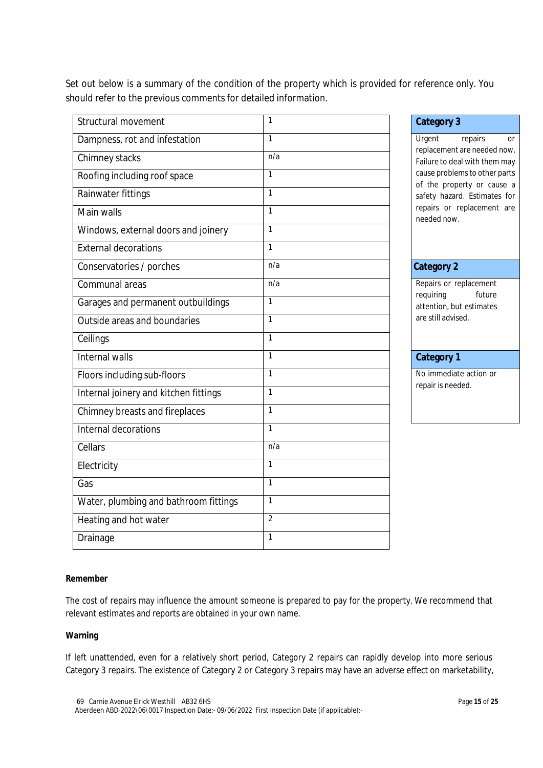Set out below is a summary of the condition of the property which is provided for reference only. You should refer to the previous comments for detailed information.

| Structural movement                   | $\mathbf{1}$   | <b>Category 3</b>                                                     |  |
|---------------------------------------|----------------|-----------------------------------------------------------------------|--|
| Dampness, rot and infestation         | $\mathbf{1}$   | Urgent<br>repairs<br><b>Or</b>                                        |  |
| Chimney stacks                        | n/a            | replacement are needed now<br>Failure to deal with them may           |  |
| Roofing including roof space          | $\mathbf{1}$   | cause problems to other parts<br>of the property or cause a           |  |
| Rainwater fittings                    | $\mathbf{1}$   | safety hazard. Estimates for                                          |  |
| Main walls                            | $\mathbf{1}$   | repairs or replacement are<br>needed now.                             |  |
| Windows, external doors and joinery   | $\mathbf{1}$   |                                                                       |  |
| External decorations                  | $\mathbf{1}$   |                                                                       |  |
| Conservatories / porches              | n/a            | <b>Category 2</b>                                                     |  |
| Communal areas                        | n/a            | Repairs or replacement                                                |  |
| Garages and permanent outbuildings    | $\mathbf{1}$   | requiring<br>future<br>attention, but estimates<br>are still advised. |  |
| Outside areas and boundaries          | $\mathbf{1}$   |                                                                       |  |
| Ceilings                              | $\mathbf{1}$   |                                                                       |  |
| Internal walls                        | $\mathbf{1}$   | <b>Category 1</b>                                                     |  |
| Floors including sub-floors           | $\mathbf{1}$   | No immediate action or                                                |  |
| Internal joinery and kitchen fittings | $\mathbf{1}$   | repair is needed.                                                     |  |
| Chimney breasts and fireplaces        | $\mathbf{1}$   |                                                                       |  |
| Internal decorations                  | $\mathbf{1}$   |                                                                       |  |
| Cellars                               | n/a            |                                                                       |  |
| Electricity                           | $\mathbf{1}$   |                                                                       |  |
| Gas                                   | $\mathbf{1}$   |                                                                       |  |
| Water, plumbing and bathroom fittings | $\mathbf{1}$   |                                                                       |  |
| Heating and hot water                 | $\overline{2}$ |                                                                       |  |
| Drainage                              | $\mathbf{1}$   |                                                                       |  |

#### **Remember**

The cost of repairs may influence the amount someone is prepared to pay for the property. We recommend that relevant estimates and reports are obtained in your own name.

#### **Warning**

If left unattended, even for a relatively short period, Category 2 repairs can rapidly develop into more serious Category 3 repairs. The existence of Category 2 or Category 3 repairs may have an adverse effect on marketability,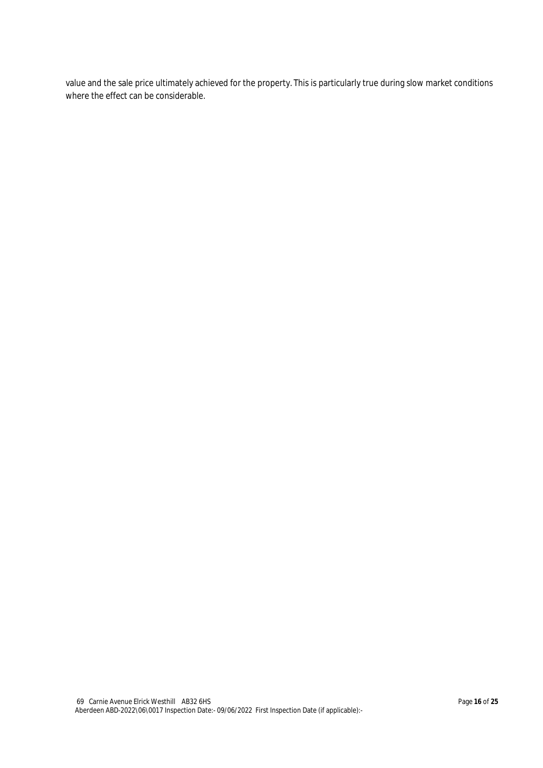value and the sale price ultimately achieved for the property. This is particularly true during slow market conditions where the effect can be considerable.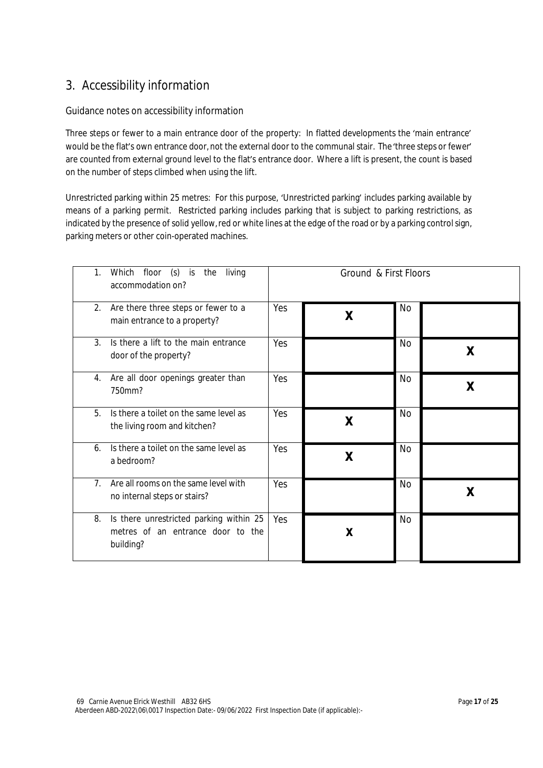# 3. Accessibility information

### Guidance notes on accessibility information

Three steps or fewer to a main entrance door of the property: In flatted developments the 'main entrance' would be the flat's own entrance door, not the external door to the communal stair. The'three steps or fewer' are counted from external ground level to the flat's entrance door. Where a lift is present, the count is based on the number of steps climbed when using the lift.

Unrestricted parking within 25 metres: For this purpose, 'Unrestricted parking' includes parking available by means of a parking permit. Restricted parking includes parking that is subject to parking restrictions, as indicated by the presence of solid yellow, red or white lines at the edge of the road or by a parking control sign, parking meters or other coin-operated machines.

| 1.<br>floor<br>$(s)$ is<br>Which<br>the<br>living<br>accommodation on?                          |     | Ground & First Floors |           |   |
|-------------------------------------------------------------------------------------------------|-----|-----------------------|-----------|---|
| 2.<br>Are there three steps or fewer to a<br>main entrance to a property?                       | Yes | X                     | <b>No</b> |   |
| 3.<br>Is there a lift to the main entrance<br>door of the property?                             | Yes |                       | No        | X |
| Are all door openings greater than<br>4.<br>750mm?                                              | Yes |                       | <b>No</b> | X |
| 5.<br>Is there a toilet on the same level as<br>the living room and kitchen?                    | Yes | X                     | <b>No</b> |   |
| Is there a toilet on the same level as<br>6.<br>a bedroom?                                      | Yes | X                     | No        |   |
| Are all rooms on the same level with<br>7 <sub>1</sub><br>no internal steps or stairs?          | Yes |                       | No        | χ |
| Is there unrestricted parking within 25<br>8.<br>metres of an entrance door to the<br>building? | Yes | X                     | <b>No</b> |   |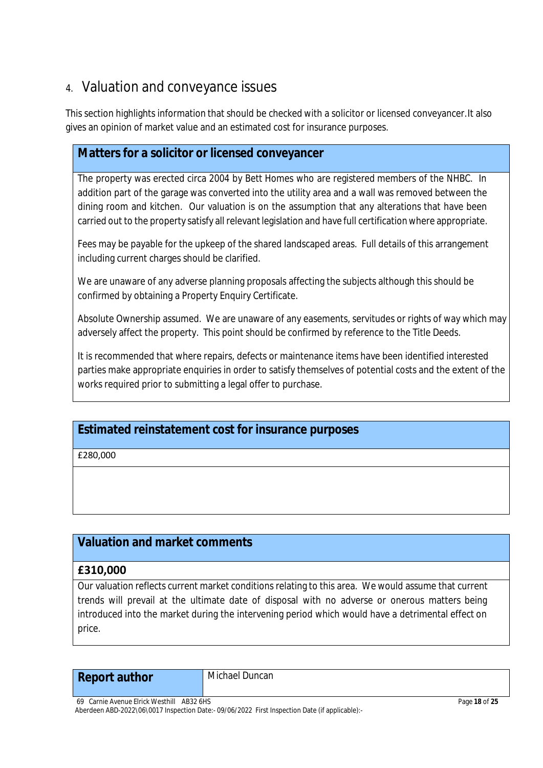# 4. Valuation and conveyance issues

This section highlights information that should be checked with a solicitor or licensed conveyancer.It also gives an opinion of market value and an estimated cost for insurance purposes.

# **Matters for a solicitor or licensed conveyancer**

The property was erected circa 2004 by Bett Homes who are registered members of the NHBC. In addition part of the garage was converted into the utility area and a wall was removed between the dining room and kitchen. Our valuation is on the assumption that any alterations that have been carried out to the property satisfy all relevant legislation and have full certification where appropriate.

Fees may be payable for the upkeep of the shared landscaped areas. Full details of this arrangement including current charges should be clarified.

We are unaware of any adverse planning proposals affecting the subjects although this should be confirmed by obtaining a Property Enquiry Certificate.

Absolute Ownership assumed. We are unaware of any easements, servitudes or rights of way which may adversely affect the property. This point should be confirmed by reference to the Title Deeds.

It is recommended that where repairs, defects or maintenance items have been identified interested parties make appropriate enquiries in order to satisfy themselves of potential costs and the extent of the works required prior to submitting a legal offer to purchase.

# **Estimated reinstatement cost for insurance purposes**

£280,000

# **Valuation and market comments**

## **£310,000**

Our valuation reflects current market conditions relating to this area. We would assume that current trends will prevail at the ultimate date of disposal with no adverse or onerous matters being introduced into the market during the intervening period which would have a detrimental effect on price.

# **Report author** Michael Duncan

69 Carnie Avenue Elrick Westhill AB32 6HS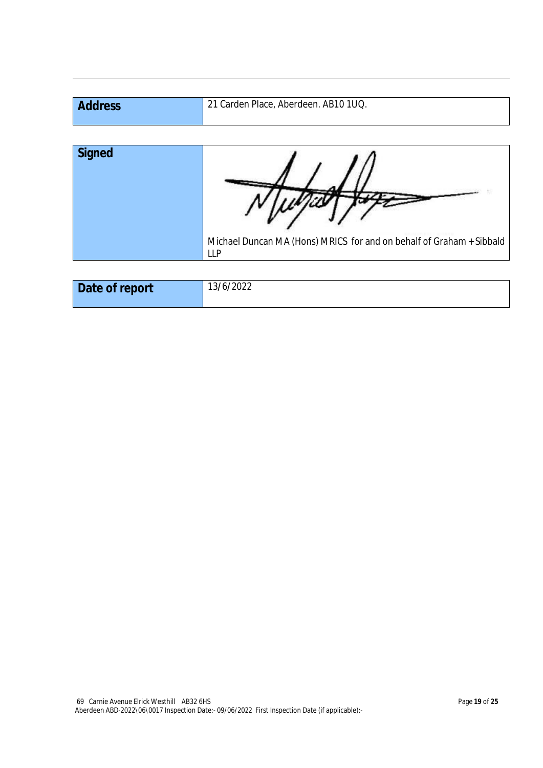| <b>Address</b> | <sup>1</sup> 21 Carden Place, Aberdeen. AB10 1UQ. |
|----------------|---------------------------------------------------|
|                |                                                   |

| <b>Signed</b> |                                                                                      |
|---------------|--------------------------------------------------------------------------------------|
|               | Michael Duncan MA (Hons) MRICS for and on behalf of Graham + Sibbald  <br><b>LLP</b> |

| Date of report | 13/6/2022 |
|----------------|-----------|
|                |           |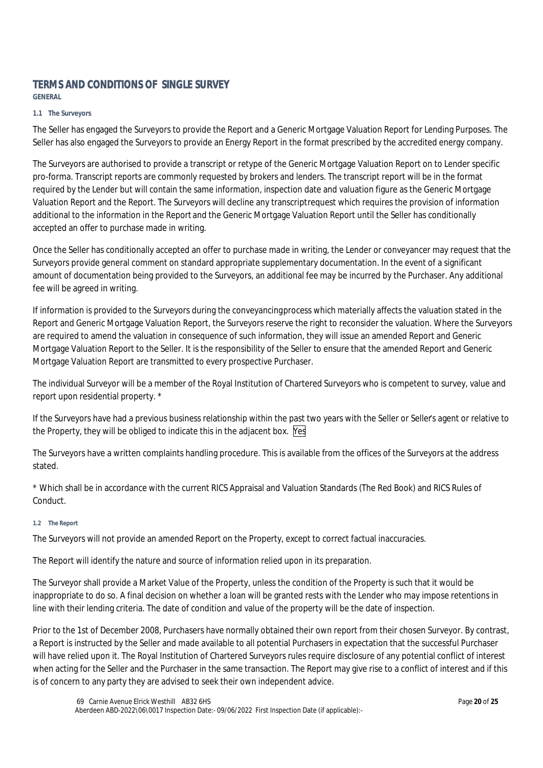## **TERMS AND CONDITIONS OF SINGLE SURVEY**

**GENERAL**

#### **1.1 The Surveyors**

The Seller has engaged the Surveyors to provide the Report and a Generic Mortgage Valuation Report for Lending Purposes. The Seller has also engaged the Surveyors to provide an Energy Report in the format prescribed by the accredited energy company.

The Surveyors are authorised to provide a transcript or retype of the Generic Mortgage Valuation Report on to Lender specific pro-forma. Transcript reports are commonly requested by brokers and lenders. The transcript report will be in the format required by the Lender but will contain the same information, inspection date and valuation figure as the Generic Mortgage Valuation Report and the Report. The Surveyors will decline any transcript request which requires the provision of information additional to the information in the Report and the Generic Mortgage Valuation Report until the Seller has conditionally accepted an offer to purchase made in writing.

Once the Seller has conditionally accepted an offer to purchase made in writing, the Lender or conveyancer may request that the Surveyors provide general comment on standard appropriate supplementary documentation. In the event of a significant amount of documentation being provided to the Surveyors, an additional fee may be incurred by the Purchaser. Any additional fee will be agreed in writing.

If information is provided to the Surveyors during the conveyancing process which materially affects the valuation stated in the Report and Generic Mortgage Valuation Report, the Surveyors reserve the right to reconsider the valuation. Where the Surveyors are required to amend the valuation in consequence of such information, they will issue an amended Report and Generic Mortgage Valuation Report to the Seller. It is the responsibility of the Seller to ensure that the amended Report and Generic Mortgage Valuation Report are transmitted to every prospective Purchaser.

The individual Surveyor will be a member of the Royal Institution of Chartered Surveyors who is competent to survey, value and report upon residential property. \*

If the Surveyors have had a previous business relationship within the past two years with the Seller or Seller's agent or relative to the Property, they will be obliged to indicate this in the adjacent box. Yes

The Surveyors have a written complaints handling procedure. This is available from the offices of the Surveyors at the address stated.

\* Which shall be in accordance with the current RICS Appraisal and Valuation Standards (The Red Book) and RICS Rules of Conduct.

#### **1.2 The Report**

The Surveyors will not provide an amended Report on the Property, except to correct factual inaccuracies.

The Report will identify the nature and source of information relied upon in its preparation.

The Surveyor shall provide a Market Value of the Property, unless the condition of the Property is such that it would be inappropriate to do so. A final decision on whether a loan will be granted rests with the Lender who may impose retentions in line with their lending criteria. The date of condition and value of the property will be the date of inspection.

Prior to the 1st of December 2008, Purchasers have normally obtained their own report from their chosen Surveyor. By contrast, a Report is instructed by the Seller and made available to all potential Purchasers in expectation that the successful Purchaser will have relied upon it. The Royal Institution of Chartered Surveyors rules require disclosure of any potential conflict of interest when acting for the Seller and the Purchaser in the same transaction. The Report may give rise to a conflict of interest and if this is of concern to any party they are advised to seek their own independent advice.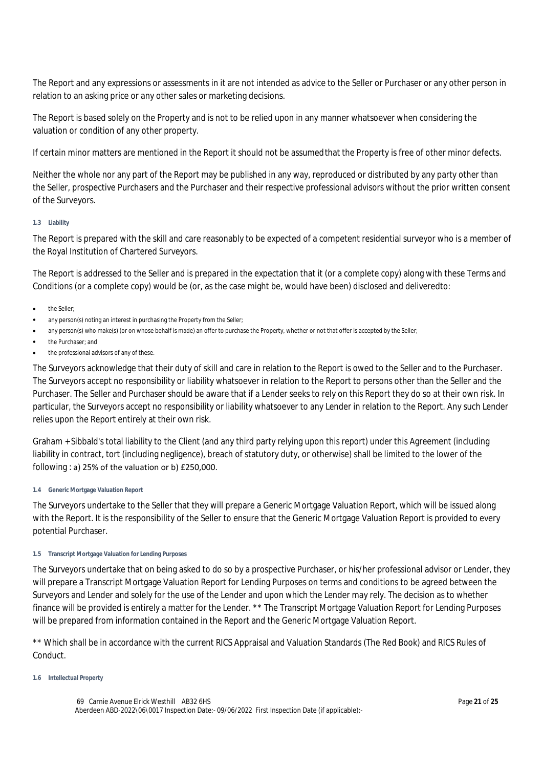The Report and any expressions or assessments in it are not intended as advice to the Seller or Purchaser or any other person in relation to an asking price or any other sales or marketing decisions.

The Report is based solely on the Property and is not to be relied upon in any manner whatsoever when considering the valuation or condition of any other property.

If certain minor matters are mentioned in the Report it should not be assumed that the Property is free of other minor defects.

Neither the whole nor any part of the Report may be published in any way, reproduced or distributed by any party other than the Seller, prospective Purchasers and the Purchaser and their respective professional advisors without the prior written consent of the Surveyors.

#### **1.3 Liability**

The Report is prepared with the skill and care reasonably to be expected of a competent residential surveyor who is a member of the Royal Institution of Chartered Surveyors.

The Report is addressed to the Seller and is prepared in the expectation that it (or a complete copy) along with these Terms and Conditions (or a complete copy) would be (or, as the case might be, would have been) disclosed and delivered to:

- the Seller;
- any person(s) noting an interest in purchasing the Property from the Seller;
- any person(s) who make(s) (or on whose behalf is made) an offer to purchase the Property, whether or not that offer is accepted by the Seller;
- the Purchaser; and
- the professional advisors of any of these.

The Surveyors acknowledge that their duty of skill and care in relation to the Report is owed to the Seller and to the Purchaser. The Surveyors accept no responsibility or liability whatsoever in relation to the Report to persons other than the Seller and the Purchaser. The Seller and Purchaser should be aware that if a Lender seeks to rely on this Report they do so at their own risk. In particular, the Surveyors accept no responsibility or liability whatsoever to any Lender in relation to the Report. Any such Lender relies upon the Report entirely at their own risk.

Graham + Sibbald's total liability to the Client (and any third party relying upon this report) under this Agreement (including liability in contract, tort (including negligence), breach of statutory duty, or otherwise) shall be limited to the lower of the following : a) 25% of the valuation or b) £250,000.

#### **1.4 Generic Mortgage Valuation Report**

The Surveyors undertake to the Seller that they will prepare a Generic Mortgage Valuation Report, which will be issued along with the Report. It is the responsibility of the Seller to ensure that the Generic Mortgage Valuation Report is provided to every potential Purchaser.

#### **1.5 Transcript Mortgage Valuation for Lending Purposes**

The Surveyors undertake that on being asked to do so by a prospective Purchaser, or his/her professional advisor or Lender, they will prepare a Transcript Mortgage Valuation Report for Lending Purposes on terms and conditions to be agreed between the Surveyors and Lender and solely for the use of the Lender and upon which the Lender may rely. The decision as to whether finance will be provided is entirely a matter for the Lender. \*\* The Transcript Mortgage Valuation Report for Lending Purposes will be prepared from information contained in the Report and the Generic Mortgage Valuation Report.

\*\* Which shall be in accordance with the current RICS Appraisal and Valuation Standards (The Red Book) and RICS Rules of Conduct.

#### **1.6 Intellectual Property**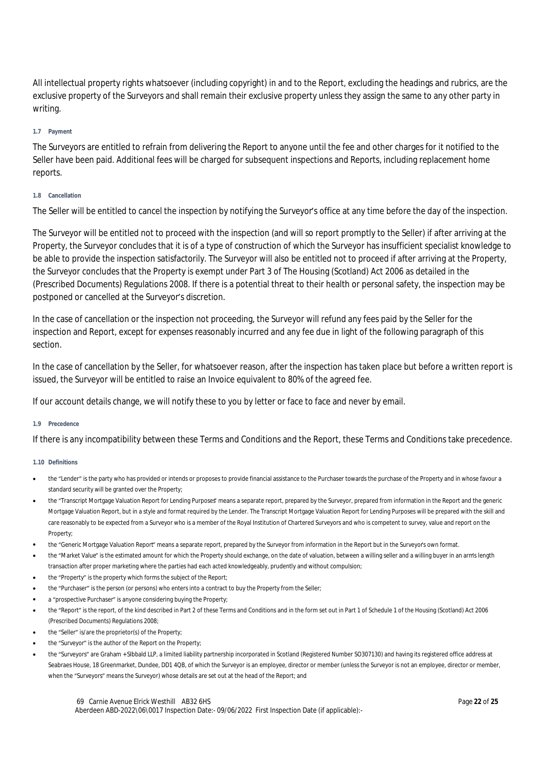All intellectual property rights whatsoever (including copyright) in and to the Report, excluding the headings and rubrics, are the exclusive property of the Surveyors and shall remain their exclusive property unless they assign the same to any other party in writing.

#### **1.7 Payment**

The Surveyors are entitled to refrain from delivering the Report to anyone until the fee and other charges for it notified to the Seller have been paid. Additional fees will be charged for subsequent inspections and Reports, including replacement home reports.

#### **1.8 Cancellation**

The Seller will be entitled to cancel the inspection by notifying the Surveyor's office at any time before the day of the inspection.

The Surveyor will be entitled not to proceed with the inspection (and will so report promptly to the Seller) if after arriving at the Property, the Surveyor concludes that it is of a type of construction of which the Surveyor has insufficient specialist knowledge to be able to provide the inspection satisfactorily. The Surveyor will also be entitled not to proceed if after arriving at the Property, the Surveyor concludes that the Property is exempt under Part 3 of The Housing (Scotland) Act 2006 as detailed in the (Prescribed Documents) Regulations 2008. If there is a potential threat to their health or personal safety, the inspection may be postponed or cancelled at the Surveyor's discretion.

In the case of cancellation or the inspection not proceeding, the Surveyor will refund any fees paid by the Seller for the inspection and Report, except for expenses reasonably incurred and any fee due in light of the following paragraph of this section.

In the case of cancellation by the Seller, for whatsoever reason, after the inspection has taken place but before a written report is issued, the Surveyor will be entitled to raise an Invoice equivalent to 80% of the agreed fee.

If our account details change, we will notify these to you by letter or face to face and never by email.

#### **1.9 Precedence**

If there is any incompatibility between these Terms and Conditions and the Report, these Terms and Conditions take precedence.

#### **1.10 Definitions**

- the "Lender" is the party who has provided or intends or proposes to provide financial assistance to the Purchaser towards the purchase of the Property and in whose favour a standard security will be granted over the Property;
- the "Transcript Mortgage Valuation Report for Lending Purposes" means a separate report, prepared by the Surveyor, prepared from information in the Report and the generic Mortgage Valuation Report, but in a style and format required by the Lender. The Transcript Mortgage Valuation Report for Lending Purposes will be prepared with the skill and care reasonably to be expected from a Surveyor who is a member of the Royal Institution of Chartered Surveyors and who is competent to survey, value and report on the Property;
- the "Generic Mortgage Valuation Report" means a separate report, prepared by the Surveyor from information in the Report but in the Surveyor's own format.
- the "Market Value" is the estimated amount for which the Property should exchange, on the date of valuation, between a willing seller and a willing buyer in an arm's length transaction after proper marketing where the parties had each acted knowledgeably, prudently and without compulsion;
- the "Property" is the property which forms the subject of the Report;
- the "Purchaser" is the person (or persons) who enters into a contract to buy the Property from the Seller;
- a "prospective Purchaser" is anyone considering buying the Property;
- the "Report" is the report, of the kind described in Part 2 of these Terms and Conditions and in the form set out in Part 1 of Schedule 1 of the Housing (Scotland) Act 2006 (Prescribed Documents) Regulations 2008;
- the "Seller" is/are the proprietor(s) of the Property;
- the "Surveyor" is the author of the Report on the Property;
- the "Surveyors" are Graham + SIbbald LLP, a limited liability partnership incorporated in Scotland (Registered Number SO307130) and having its registered office address at Seabraes House, 18 Greenmarket, Dundee, DD1 4QB, of which the Surveyor is an employee, director or member (unless the Surveyor is not an employee, director or member, when the "Surveyors" means the Surveyor) whose details are set out at the head of the Report; and

69 Carnie Avenue Elrick Westhill AB32 6HS Aberdeen ABD-2022\06\0017 Inspection Date:- 09/06/2022 First Inspection Date (if applicable):-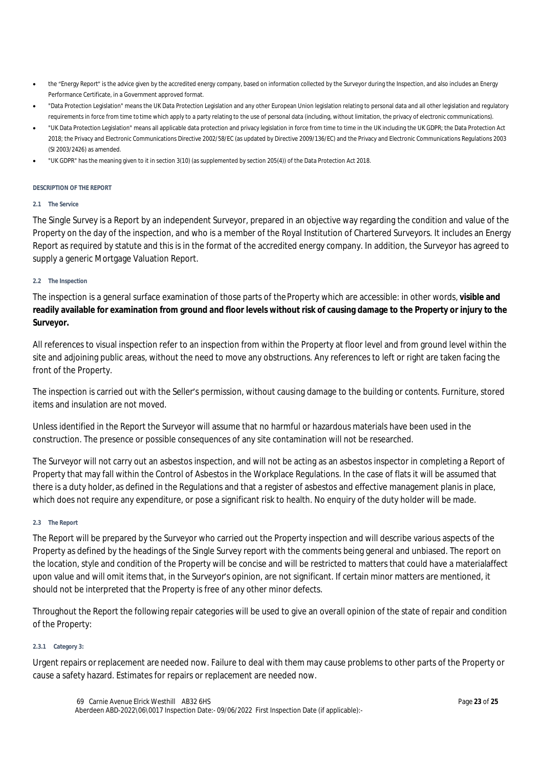- the "Energy Report" is the advice given by the accredited energy company, based on information collected by the Surveyor during the Inspection, and also includes an Energy Performance Certificate, in a Government approved format.
- "Data Protection Legislation" means the UK Data Protection Legislation and any other European Union legislation relating to personal data and all other legislation and regulatory requirements in force from time to time which apply to a party relating to the use of personal data (including, without limitation, the privacy of electronic communications).
- "UK Data Protection Legislation" means all applicable data protection and privacy legislation in force from time to time in the UK including the UK GDPR; the Data Protection Act 2018; the Privacy and Electronic Communications Directive 2002/58/EC (as updated by Directive 2009/136/EC) and the Privacy and Electronic Communications Regulations 2003 (SI 2003/2426) as amended.
- "UK GDPR" has the meaning given to it in section 3(10) (as supplemented by section 205(4)) of the Data Protection Act 2018.

#### **DESCRIPTION OF THE REPORT**

#### **2.1 The Service**

The Single Survey is a Report by an independent Surveyor, prepared in an objective way regarding the condition and value of the Property on the day of the inspection, and who is a member of the Royal Institution of Chartered Surveyors. It includes an Energy Report as required by statute and this is in the format of the accredited energy company. In addition, the Surveyor has agreed to supply a generic Mortgage Valuation Report.

#### **2.2 The Inspection**

The inspection is a general surface examination of those parts of the Property which are accessible: in other words, **visible and readily available for examination from ground and floor levels without risk of causing damage to the Property or injury to the Surveyor.**

All references to visual inspection refer to an inspection from within the Property at floor level and from ground level within the site and adjoining public areas, without the need to move any obstructions. Any references to left or right are taken facing the front of the Property.

The inspection is carried out with the Seller's permission, without causing damage to the building or contents. Furniture, stored items and insulation are not moved.

Unless identified in the Report the Surveyor will assume that no harmful or hazardous materials have been used in the construction. The presence or possible consequences of any site contamination will not be researched.

The Surveyor will not carry out an asbestos inspection, and will not be acting as an asbestos inspector in completing a Report of Property that may fall within the Control of Asbestos in the Workplace Regulations. In the case of flats it will be assumed that there is a duty holder, as defined in the Regulations and that a register of asbestos and effective management planis in place, which does not require any expenditure, or pose a significant risk to health. No enquiry of the duty holder will be made.

#### **2.3 The Report**

The Report will be prepared by the Surveyor who carried out the Property inspection and will describe various aspects of the Property as defined by the headings of the Single Survey report with the comments being general and unbiased. The report on the location, style and condition of the Property will be concise and will be restricted to matters that could have a material affect upon value and will omit items that, in the Surveyor's opinion, are not significant. If certain minor matters are mentioned, it should not be interpreted that the Property is free of any other minor defects.

Throughout the Report the following repair categories will be used to give an overall opinion of the state of repair and condition of the Property:

#### **2.3.1 Category 3:**

Urgent repairs or replacement are needed now. Failure to deal with them may cause problems to other parts of the Property or cause a safety hazard. Estimates for repairs or replacement are needed now.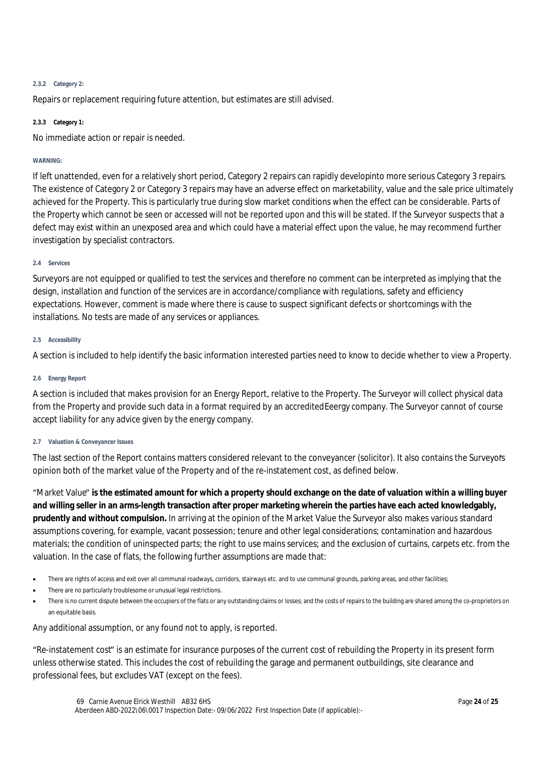#### **2.3.2 Category 2:**

Repairs or replacement requiring future attention, but estimates are still advised.

#### **2.3.3 Category 1:**

No immediate action or repair is needed.

#### **WARNING:**

If left unattended, even for a relatively short period, Category 2 repairs can rapidly developinto more serious Category 3 repairs. The existence of Category 2 or Category 3 repairs may have an adverse effect on marketability, value and the sale price ultimately achieved for the Property. This is particularly true during slow market conditions when the effect can be considerable. Parts of the Property which cannot be seen or accessed will not be reported upon and this will be stated. If the Surveyor suspects that a defect may exist within an unexposed area and which could have a material effect upon the value, he may recommend further investigation by specialist contractors.

#### **2.4 Services**

Surveyors are not equipped or qualified to test the services and therefore no comment can be interpreted as implying that the design, installation and function of the services are in accordance/compliance with regulations, safety and efficiency expectations. However, comment is made where there is cause to suspect significant defects or shortcomings with the installations. No tests are made of any services or appliances.

#### **2.5 Accessibility**

A section is included to help identify the basic information interested parties need to know to decide whether to view a Property.

#### **2.6 Energy Report**

A section is included that makes provision for an Energy Report, relative to the Property. The Surveyor will collect physical data from the Property and provide such data in a format required by an accredited Eeergy company. The Surveyor cannot of course accept liability for any advice given by the energy company.

#### **2.7 Valuation & Conveyancer Issues**

The last section of the Report contains matters considered relevant to the conveyancer (solicitor). It also contains the Surveyor's opinion both of the market value of the Property and of the re-instatement cost, as defined below.

"Market Value" **is the estimated amount for which a property should exchange on the date of valuation within a willing buyer and willing seller in an arms-length transaction after proper marketing wherein the parties have each acted knowledgably, prudently and without compulsion.** In arriving at the opinion of the Market Value the Surveyor also makes various standard assumptions covering, for example, vacant possession; tenure and other legal considerations; contamination and hazardous materials; the condition of uninspected parts; the right to use mains services; and the exclusion of curtains, carpets etc. from the valuation. In the case of flats, the following further assumptions are made that:

- There are rights of access and exit over all communal roadways, corridors, stairways etc. and to use communal grounds, parking areas, and other facilities;
- There are no particularly troublesome or unusual legal restrictions.
- There is no current dispute between the occupiers of the flats or any outstanding claims or losses; and the costs of repairs to the building are shared among the co-proprietors on an equitable basis.

Any additional assumption, or any found not to apply, is reported.

"Re-instatement cost" is an estimate for insurance purposes of the current cost of rebuilding the Property in its present form unless otherwise stated. This includes the cost of rebuilding the garage and permanent outbuildings, site clearance and professional fees, but excludes VAT (except on the fees).